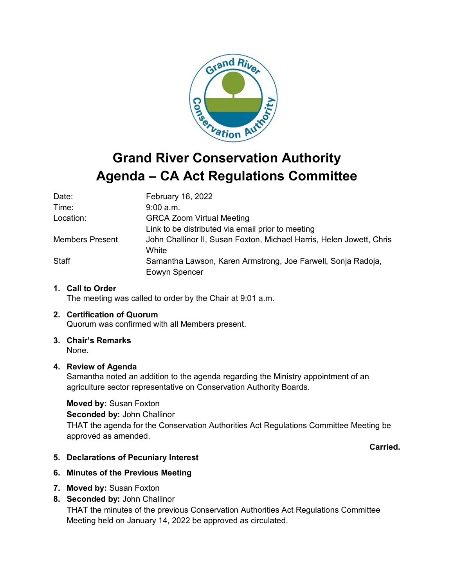

# **Agenda – CA Act Regulations Committee**

| Date:                  | February 16, 2022                                                             |
|------------------------|-------------------------------------------------------------------------------|
| Time:                  | $9:00$ a.m.                                                                   |
| Location:              | <b>GRCA Zoom Virtual Meeting</b>                                              |
|                        | Link to be distributed via email prior to meeting                             |
| <b>Members Present</b> | John Challinor II, Susan Foxton, Michael Harris, Helen Jowett, Chris<br>White |
| <b>Staff</b>           | Samantha Lawson, Karen Armstrong, Joe Farwell, Sonja Radoja,<br>Eowyn Spencer |

# **1. Call to Order**

The meeting was called to order by the Chair at 9:01 a.m.

# **2. Certification of Quorum**

Quorum was confirmed with all Members present.

# **3. Chair's Remarks**

None.

#### **4. Review of Agenda**

Samantha noted an addition to the agenda regarding the Ministry appointment of an agriculture sector representative on Conservation Authority Boards.

#### **Moved by:** Susan Foxton

**Seconded by:** John Challinor

THAT the agenda for the Conservation Authorities Act Regulations Committee Meeting be approved as amended.

**Carried.**

## **5. Declarations of Pecuniary Interest**

#### **6. Minutes of the Previous Meeting**

**7. Moved by:** Susan Foxton

## **8. Seconded by:** John Challinor

THAT the minutes of the previous Conservation Authorities Act Regulations Committee Meeting held on January 14, 2022 be approved as circulated.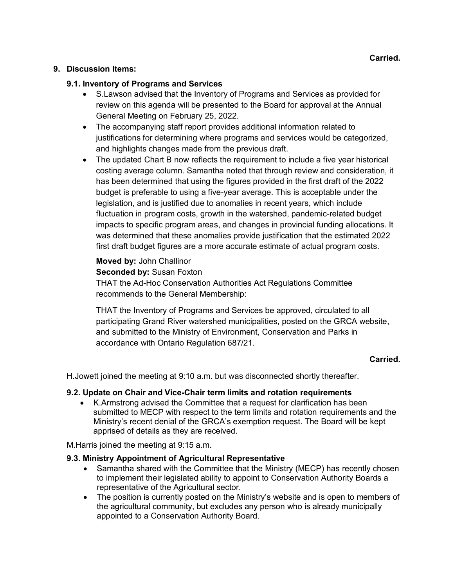#### **9. Discussion Items:**

#### **9.1. Inventory of Programs and Services**

- S.Lawson advised that the Inventory of Programs and Services as provided for review on this agenda will be presented to the Board for approval at the Annual General Meeting on February 25, 2022.
- The accompanying staff report provides additional information related to justifications for determining where programs and services would be categorized, and highlights changes made from the previous draft.
- The updated Chart B now reflects the requirement to include a five year historical costing average column. Samantha noted that through review and consideration, it has been determined that using the figures provided in the first draft of the 2022 budget is preferable to using a five-year average. This is acceptable under the legislation, and is justified due to anomalies in recent years, which include fluctuation in program costs, growth in the watershed, pandemic-related budget impacts to specific program areas, and changes in provincial funding allocations. It was determined that these anomalies provide justification that the estimated 2022 first draft budget figures are a more accurate estimate of actual program costs.

# **Moved by:** John Challinor

**Seconded by:** Susan Foxton

THAT the Ad-Hoc Conservation Authorities Act Regulations Committee recommends to the General Membership:

THAT the Inventory of Programs and Services be approved, circulated to all participating Grand River watershed municipalities, posted on the GRCA website, and submitted to the Ministry of Environment, Conservation and Parks in accordance with Ontario Regulation 687/21.

## **Carried.**

H.Jowett joined the meeting at 9:10 a.m. but was disconnected shortly thereafter.

#### **9.2. Update on Chair and Vice-Chair term limits and rotation requirements**

• K.Armstrong advised the Committee that a request for clarification has been submitted to MECP with respect to the term limits and rotation requirements and the Ministry's recent denial of the GRCA's exemption request. The Board will be kept apprised of details as they are received.

M.Harris joined the meeting at 9:15 a.m.

#### **9.3. Ministry Appointment of Agricultural Representative**

- Samantha shared with the Committee that the Ministry (MECP) has recently chosen to implement their legislated ability to appoint to Conservation Authority Boards a representative of the Agricultural sector.
- The position is currently posted on the Ministry's website and is open to members of the agricultural community, but excludes any person who is already municipally appointed to a Conservation Authority Board.